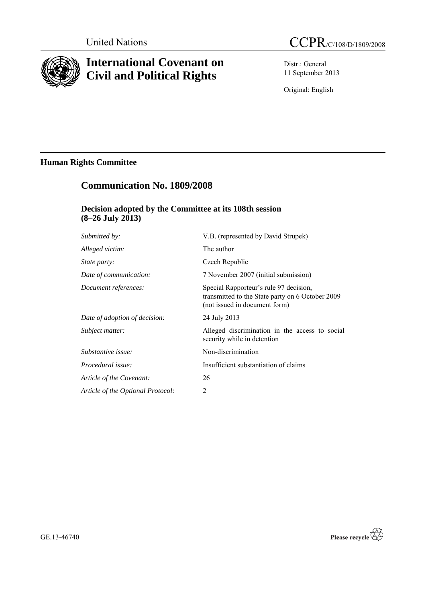

# **International Covenant on Civil and Political Rights**

Distr.: General 11 September 2013

Original: English

## **Human Rights Committee**

## **Communication No. 1809/2008**

## **Decision adopted by the Committee at its 108th session (8–26 July 2013)**

| Submitted by:                     | V.B. (represented by David Strupek)                                                                                         |
|-----------------------------------|-----------------------------------------------------------------------------------------------------------------------------|
| Alleged victim:                   | The author                                                                                                                  |
| <i>State party:</i>               | Czech Republic                                                                                                              |
| Date of communication:            | 7 November 2007 (initial submission)                                                                                        |
| Document references:              | Special Rapporteur's rule 97 decision,<br>transmitted to the State party on 6 October 2009<br>(not issued in document form) |
| Date of adoption of decision:     | 24 July 2013                                                                                                                |
| Subject matter:                   | Alleged discrimination in the access to social<br>security while in detention                                               |
| Substantive issue:                | Non-discrimination                                                                                                          |
| Procedural issue:                 | Insufficient substantiation of claims                                                                                       |
| Article of the Covenant:          | 26                                                                                                                          |
| Article of the Optional Protocol: | 2                                                                                                                           |
|                                   |                                                                                                                             |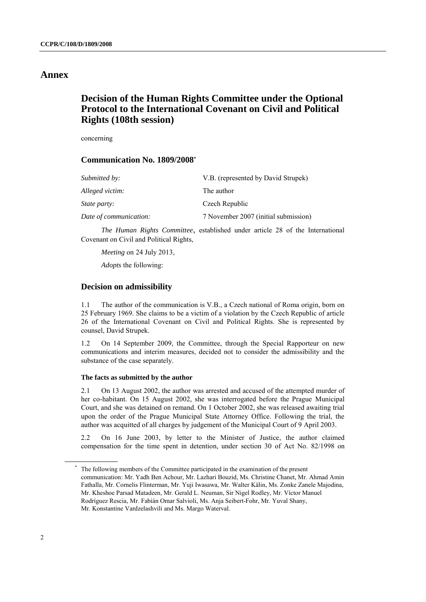### **Annex**

## **Decision of the Human Rights Committee under the Optional Protocol to the International Covenant on Civil and Political Rights (108th session)**

concerning

### **Communication No. 1809/2008\***

| Submitted by:          | V.B. (represented by David Strupek)  |
|------------------------|--------------------------------------|
| Alleged victim:        | The author                           |
| <i>State party:</i>    | Czech Republic                       |
| Date of communication: | 7 November 2007 (initial submission) |

*The Human Rights Committee*, established under article 28 of the International Covenant on Civil and Political Rights,

*Meeting* on 24 July 2013,

*Adopts* the following:

#### **Decision on admissibility**

1.1 The author of the communication is V.B., a Czech national of Roma origin, born on 25 February 1969. She claims to be a victim of a violation by the Czech Republic of article 26 of the International Covenant on Civil and Political Rights. She is represented by counsel, David Strupek.

1.2 On 14 September 2009, the Committee, through the Special Rapporteur on new communications and interim measures, decided not to consider the admissibility and the substance of the case separately.

#### **The facts as submitted by the author**

2.1 On 13 August 2002, the author was arrested and accused of the attempted murder of her co-habitant. On 15 August 2002, she was interrogated before the Prague Municipal Court, and she was detained on remand. On 1 October 2002, she was released awaiting trial upon the order of the Prague Municipal State Attorney Office. Following the trial, the author was acquitted of all charges by judgement of the Municipal Court of 9 April 2003.

2.2 On 16 June 2003, by letter to the Minister of Justice, the author claimed compensation for the time spent in detention, under section 30 of Act No. 82/1998 on

The following members of the Committee participated in the examination of the present communication: Mr. Yadh Ben Achour, Mr. Lazhari Bouzid, Ms. Christine Chanet, Mr. Ahmad Amin Fathalla, Mr. Cornelis Flinterman, Mr. Yuji Iwasawa, Mr. Walter Kälin, Ms. Zonke Zanele Majodina, Mr. Kheshoe Parsad Matadeen, Mr. Gerald L. Neuman, Sir Nigel Rodley, Mr. Víctor Manuel Rodríguez Rescia, Mr. Fabián Omar Salvioli, Ms. Anja Seibert-Fohr, Mr. Yuval Shany, Mr. Konstantine Vardzelashvili and Ms. Margo Waterval.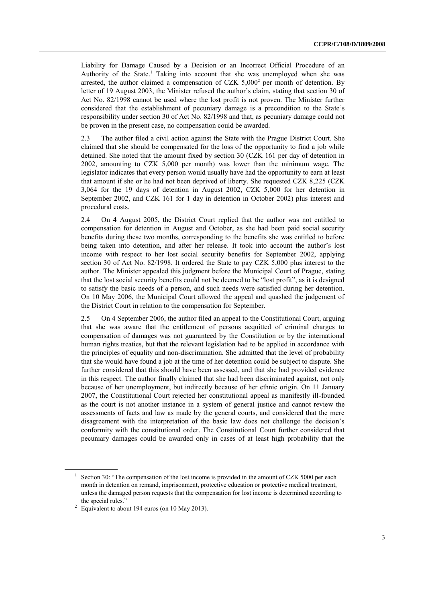Liability for Damage Caused by a Decision or an Incorrect Official Procedure of an Authority of the State. <sup>1</sup> Taking into account that she was unemployed when she was arrested, the author claimed a compensation of CZK  $5,000^2$  per month of detention. By letter of 19 August 2003, the Minister refused the author's claim, stating that section 30 of Act No. 82/1998 cannot be used where the lost profit is not proven. The Minister further considered that the establishment of pecuniary damage is a precondition to the State's responsibility under section 30 of Act No. 82/1998 and that, as pecuniary damage could not be proven in the present case, no compensation could be awarded.

2.3 The author filed a civil action against the State with the Prague District Court. She claimed that she should be compensated for the loss of the opportunity to find a job while detained. She noted that the amount fixed by section 30 (CZK 161 per day of detention in 2002, amounting to CZK 5,000 per month) was lower than the minimum wage. The legislator indicates that every person would usually have had the opportunity to earn at least that amount if she or he had not been deprived of liberty. She requested CZK 8,225 (CZK 3,064 for the 19 days of detention in August 2002, CZK 5,000 for her detention in September 2002, and CZK 161 for 1 day in detention in October 2002) plus interest and procedural costs.

2.4 On 4 August 2005, the District Court replied that the author was not entitled to compensation for detention in August and October, as she had been paid social security benefits during these two months, corresponding to the benefits she was entitled to before being taken into detention, and after her release. It took into account the author's lost income with respect to her lost social security benefits for September 2002, applying section 30 of Act No. 82/1998. It ordered the State to pay CZK 5,000 plus interest to the author. The Minister appealed this judgment before the Municipal Court of Prague, stating that the lost social security benefits could not be deemed to be "lost profit", as it is designed to satisfy the basic needs of a person, and such needs were satisfied during her detention. On 10 May 2006, the Municipal Court allowed the appeal and quashed the judgement of the District Court in relation to the compensation for September.

2.5 On 4 September 2006, the author filed an appeal to the Constitutional Court, arguing that she was aware that the entitlement of persons acquitted of criminal charges to compensation of damages was not guaranteed by the Constitution or by the international human rights treaties, but that the relevant legislation had to be applied in accordance with the principles of equality and non-discrimination. She admitted that the level of probability that she would have found a job at the time of her detention could be subject to dispute. She further considered that this should have been assessed, and that she had provided evidence in this respect. The author finally claimed that she had been discriminated against, not only because of her unemployment, but indirectly because of her ethnic origin. On 11 January 2007, the Constitutional Court rejected her constitutional appeal as manifestly ill-founded as the court is not another instance in a system of general justice and cannot review the assessments of facts and law as made by the general courts, and considered that the mere disagreement with the interpretation of the basic law does not challenge the decision's conformity with the constitutional order. The Constitutional Court further considered that pecuniary damages could be awarded only in cases of at least high probability that the

<sup>&</sup>lt;sup>1</sup> Section 30: "The compensation of the lost income is provided in the amount of CZK 5000 per each month in detention on remand, imprisonment, protective education or protective medical treatment, unless the damaged person requests that the compensation for lost income is determined according to the special rules."

<sup>&</sup>lt;sup>2</sup> Equivalent to about 194 euros (on 10 May 2013).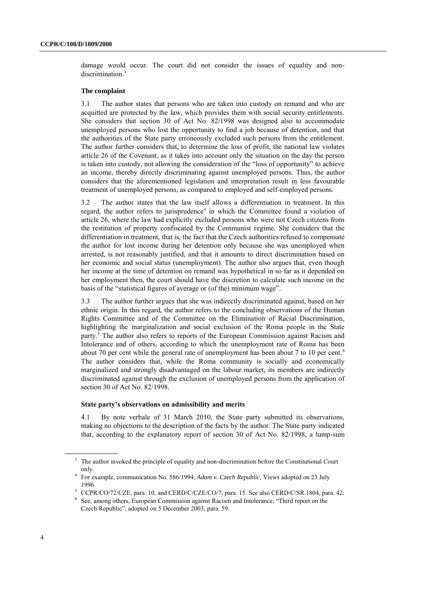damage would occur. The court did not consider the issues of equality and nondiscrimination.<sup>3</sup>

#### **The complaint**

3.1 The author states that persons who are taken into custody on remand and who are acquitted are protected by the law, which provides them with social security entitlements. She considers that section 30 of Act No. 82/1998 was designed also to accommodate unemployed persons who lost the opportunity to find a job because of detention, and that the authorities of the State party erroneously excluded such persons from the entitlement. The author further considers that, to determine the loss of profit, the national law violates article 26 of the Covenant, as it takes into account only the situation on the day the person is taken into custody, not allowing the consideration of the "loss of opportunity" to achieve an income, thereby directly discriminating against unemployed persons. Thus, the author considers that the aforementioned legislation and interpretation result in less favourable treatment of unemployed persons, as compared to employed and self-employed persons.

3.2 The author states that the law itself allows a differentiation in treatment. In this regard, the author refers to jurisprudence<sup>4</sup> in which the Committee found a violation of article 26, where the law had explicitly excluded persons who were not Czech citizens from the restitution of property confiscated by the Communist regime. She considers that the differentiation in treatment, that is, the fact that the Czech authorities refused to compensate the author for lost income during her detention only because she was unemployed when arrested, is not reasonably justified, and that it amounts to direct discrimination based on her economic and social status (unemployment). The author also argues that, even though her income at the time of detention on remand was hypothetical in so far as it depended on her employment then, the court should have the discretion to calculate such income on the basis of the "statistical figures of average or (of the) minimum wage".

3.3 The author further argues that she was indirectly discriminated against, based on her ethnic origin. In this regard, the author refers to the concluding observations of the Human Rights Committee and of the Committee on the Elimination of Racial Discrimination, highlighting the marginalization and social exclusion of the Roma people in the State party.<sup>5</sup> The author also refers to reports of the European Commission against Racism and Intolerance and of others, according to which the unemployment rate of Roma has been about 70 per cent while the general rate of unemployment has been about 7 to 10 per cent.<sup>6</sup> The author considers that, while the Roma community is socially and economically marginalized and strongly disadvantaged on the labour market, its members are indirectly discriminated against through the exclusion of unemployed persons from the application of section 30 of Act No. 82/1998.

#### **State party's observations on admissibility and merits**

4.1 By note verbale of 31 March 2010, the State party submitted its observations, making no objections to the description of the facts by the author. The State party indicated that, according to the explanatory report of section 30 of Act No. 82/1998, a lump-sum

<sup>&</sup>lt;sup>3</sup> The author invoked the principle of equality and non-discrimination before the Constitutional Court only.

<sup>4</sup> For example, communication No. 586/1994, *Adam v. Czech Republic*, Views adopted on 23 July 1996.

<sup>&</sup>lt;sup>5</sup> CCPR/CO/72/CZE, para. 10, and CERD/C/CZE/CO/7, para. 15. See also CERD/C/SR.1804, para. 42.

<sup>6</sup> See, among others, European Commission against Racism and Intolerance, "Third report on the Czech Republic", adopted on 5 December 2003, para. 59.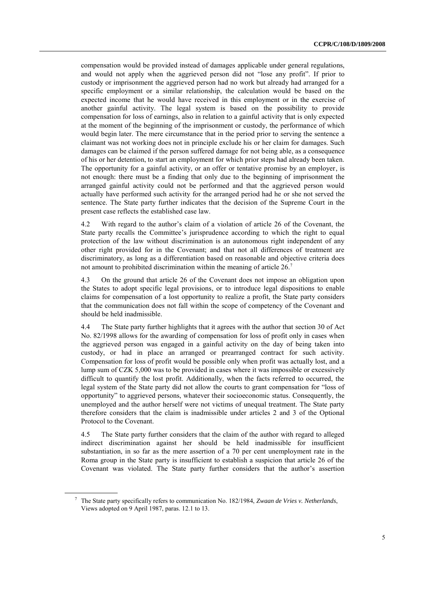compensation would be provided instead of damages applicable under general regulations, and would not apply when the aggrieved person did not "lose any profit". If prior to custody or imprisonment the aggrieved person had no work but already had arranged for a specific employment or a similar relationship, the calculation would be based on the expected income that he would have received in this employment or in the exercise of another gainful activity. The legal system is based on the possibility to provide compensation for loss of earnings, also in relation to a gainful activity that is only expected at the moment of the beginning of the imprisonment or custody, the performance of which would begin later. The mere circumstance that in the period prior to serving the sentence a claimant was not working does not in principle exclude his or her claim for damages. Such damages can be claimed if the person suffered damage for not being able, as a consequence of his or her detention, to start an employment for which prior steps had already been taken. The opportunity for a gainful activity, or an offer or tentative promise by an employer, is not enough: there must be a finding that only due to the beginning of imprisonment the arranged gainful activity could not be performed and that the aggrieved person would actually have performed such activity for the arranged period had he or she not served the sentence. The State party further indicates that the decision of the Supreme Court in the present case reflects the established case law.

4.2 With regard to the author's claim of a violation of article 26 of the Covenant, the State party recalls the Committee's jurisprudence according to which the right to equal protection of the law without discrimination is an autonomous right independent of any other right provided for in the Covenant; and that not all differences of treatment are discriminatory, as long as a differentiation based on reasonable and objective criteria does not amount to prohibited discrimination within the meaning of article 26.<sup>7</sup>

4.3 On the ground that article 26 of the Covenant does not impose an obligation upon the States to adopt specific legal provisions, or to introduce legal dispositions to enable claims for compensation of a lost opportunity to realize a profit, the State party considers that the communication does not fall within the scope of competency of the Covenant and should be held inadmissible.

4.4 The State party further highlights that it agrees with the author that section 30 of Act No. 82/1998 allows for the awarding of compensation for loss of profit only in cases when the aggrieved person was engaged in a gainful activity on the day of being taken into custody, or had in place an arranged or prearranged contract for such activity. Compensation for loss of profit would be possible only when profit was actually lost, and a lump sum of CZK 5,000 was to be provided in cases where it was impossible or excessively difficult to quantify the lost profit. Additionally, when the facts referred to occurred, the legal system of the State party did not allow the courts to grant compensation for "loss of opportunity" to aggrieved persons, whatever their socioeconomic status. Consequently, the unemployed and the author herself were not victims of unequal treatment. The State party therefore considers that the claim is inadmissible under articles 2 and 3 of the Optional Protocol to the Covenant.

4.5 The State party further considers that the claim of the author with regard to alleged indirect discrimination against her should be held inadmissible for insufficient substantiation, in so far as the mere assertion of a 70 per cent unemployment rate in the Roma group in the State party is insufficient to establish a suspicion that article 26 of the Covenant was violated. The State party further considers that the author's assertion

<sup>7</sup> The State party specifically refers to communication No. 182/1984, *Zwaan de Vries v. Netherlands*, Views adopted on 9 April 1987, paras. 12.1 to 13.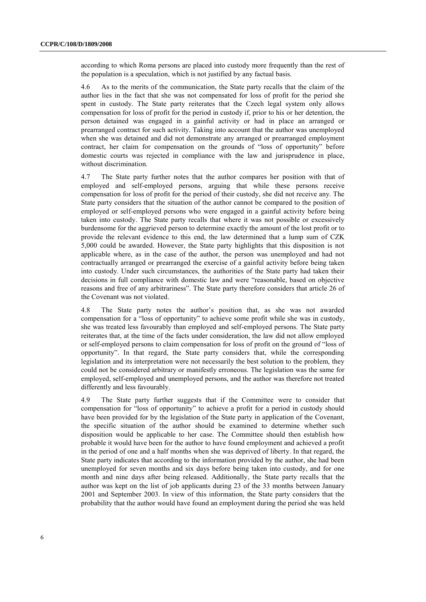according to which Roma persons are placed into custody more frequently than the rest of the population is a speculation, which is not justified by any factual basis.

4.6 As to the merits of the communication, the State party recalls that the claim of the author lies in the fact that she was not compensated for loss of profit for the period she spent in custody. The State party reiterates that the Czech legal system only allows compensation for loss of profit for the period in custody if, prior to his or her detention, the person detained was engaged in a gainful activity or had in place an arranged or prearranged contract for such activity. Taking into account that the author was unemployed when she was detained and did not demonstrate any arranged or prearranged employment contract, her claim for compensation on the grounds of "loss of opportunity" before domestic courts was rejected in compliance with the law and jurisprudence in place, without discrimination.

4.7 The State party further notes that the author compares her position with that of employed and self-employed persons, arguing that while these persons receive compensation for loss of profit for the period of their custody, she did not receive any. The State party considers that the situation of the author cannot be compared to the position of employed or self-employed persons who were engaged in a gainful activity before being taken into custody. The State party recalls that where it was not possible or excessively burdensome for the aggrieved person to determine exactly the amount of the lost profit or to provide the relevant evidence to this end, the law determined that a lump sum of CZK 5,000 could be awarded. However, the State party highlights that this disposition is not applicable where, as in the case of the author, the person was unemployed and had not contractually arranged or prearranged the exercise of a gainful activity before being taken into custody. Under such circumstances, the authorities of the State party had taken their decisions in full compliance with domestic law and were "reasonable, based on objective reasons and free of any arbitrariness". The State party therefore considers that article 26 of the Covenant was not violated.

4.8 The State party notes the author's position that, as she was not awarded compensation for a "loss of opportunity" to achieve some profit while she was in custody, she was treated less favourably than employed and self-employed persons. The State party reiterates that, at the time of the facts under consideration, the law did not allow employed or self-employed persons to claim compensation for loss of profit on the ground of "loss of opportunity". In that regard, the State party considers that, while the corresponding legislation and its interpretation were not necessarily the best solution to the problem, they could not be considered arbitrary or manifestly erroneous. The legislation was the same for employed, self-employed and unemployed persons, and the author was therefore not treated differently and less favourably.

4.9 The State party further suggests that if the Committee were to consider that compensation for "loss of opportunity" to achieve a profit for a period in custody should have been provided for by the legislation of the State party in application of the Covenant, the specific situation of the author should be examined to determine whether such disposition would be applicable to her case. The Committee should then establish how probable it would have been for the author to have found employment and achieved a profit in the period of one and a half months when she was deprived of liberty. In that regard, the State party indicates that according to the information provided by the author, she had been unemployed for seven months and six days before being taken into custody, and for one month and nine days after being released. Additionally, the State party recalls that the author was kept on the list of job applicants during 23 of the 33 months between January 2001 and September 2003. In view of this information, the State party considers that the probability that the author would have found an employment during the period she was held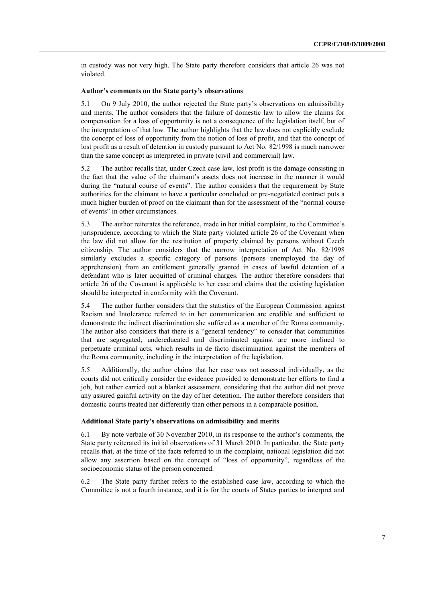in custody was not very high. The State party therefore considers that article 26 was not violated.

#### **Author's comments on the State party's observations**

5.1 On 9 July 2010, the author rejected the State party's observations on admissibility and merits. The author considers that the failure of domestic law to allow the claims for compensation for a loss of opportunity is not a consequence of the legislation itself, but of the interpretation of that law. The author highlights that the law does not explicitly exclude the concept of loss of opportunity from the notion of loss of profit, and that the concept of lost profit as a result of detention in custody pursuant to Act No. 82/1998 is much narrower than the same concept as interpreted in private (civil and commercial) law.

5.2 The author recalls that, under Czech case law, lost profit is the damage consisting in the fact that the value of the claimant's assets does not increase in the manner it would during the "natural course of events". The author considers that the requirement by State authorities for the claimant to have a particular concluded or pre-negotiated contract puts a much higher burden of proof on the claimant than for the assessment of the "normal course of events" in other circumstances.

5.3 The author reiterates the reference, made in her initial complaint, to the Committee's jurisprudence, according to which the State party violated article 26 of the Covenant when the law did not allow for the restitution of property claimed by persons without Czech citizenship. The author considers that the narrow interpretation of Act No. 82/1998 similarly excludes a specific category of persons (persons unemployed the day of apprehension) from an entitlement generally granted in cases of lawful detention of a defendant who is later acquitted of criminal charges. The author therefore considers that article 26 of the Covenant is applicable to her case and claims that the existing legislation should be interpreted in conformity with the Covenant.

5.4 The author further considers that the statistics of the European Commission against Racism and Intolerance referred to in her communication are credible and sufficient to demonstrate the indirect discrimination she suffered as a member of the Roma community. The author also considers that there is a "general tendency" to consider that communities that are segregated, undereducated and discriminated against are more inclined to perpetuate criminal acts, which results in de facto discrimination against the members of the Roma community, including in the interpretation of the legislation.

5.5 Additionally, the author claims that her case was not assessed individually, as the courts did not critically consider the evidence provided to demonstrate her efforts to find a job, but rather carried out a blanket assessment, considering that the author did not prove any assured gainful activity on the day of her detention. The author therefore considers that domestic courts treated her differently than other persons in a comparable position.

#### **Additional State party's observations on admissibility and merits**

6.1 By note verbale of 30 November 2010, in its response to the author's comments, the State party reiterated its initial observations of 31 March 2010. In particular, the State party recalls that, at the time of the facts referred to in the complaint, national legislation did not allow any assertion based on the concept of "loss of opportunity", regardless of the socioeconomic status of the person concerned.

6.2 The State party further refers to the established case law, according to which the Committee is not a fourth instance, and it is for the courts of States parties to interpret and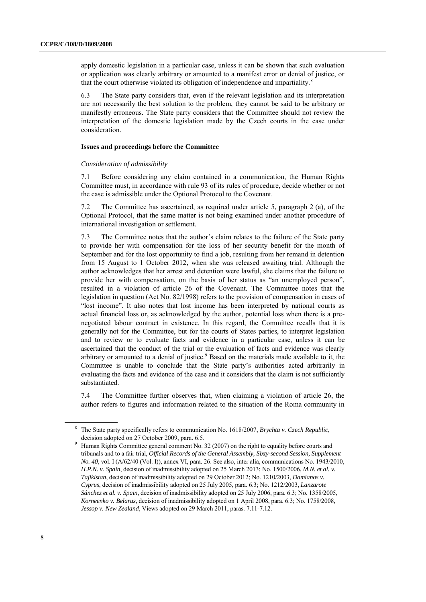apply domestic legislation in a particular case, unless it can be shown that such evaluation or application was clearly arbitrary or amounted to a manifest error or denial of justice, or that the court otherwise violated its obligation of independence and impartiality.<sup>8</sup>

6.3 The State party considers that, even if the relevant legislation and its interpretation are not necessarily the best solution to the problem, they cannot be said to be arbitrary or manifestly erroneous. The State party considers that the Committee should not review the interpretation of the domestic legislation made by the Czech courts in the case under consideration.

#### **Issues and proceedings before the Committee**

#### *Consideration of admissibility*

7.1 Before considering any claim contained in a communication, the Human Rights Committee must, in accordance with rule 93 of its rules of procedure, decide whether or not the case is admissible under the Optional Protocol to the Covenant.

7.2 The Committee has ascertained, as required under article 5, paragraph 2 (a), of the Optional Protocol, that the same matter is not being examined under another procedure of international investigation or settlement.

7.3 The Committee notes that the author's claim relates to the failure of the State party to provide her with compensation for the loss of her security benefit for the month of September and for the lost opportunity to find a job, resulting from her remand in detention from 15 August to 1 October 2012, when she was released awaiting trial. Although the author acknowledges that her arrest and detention were lawful, she claims that the failure to provide her with compensation, on the basis of her status as "an unemployed person", resulted in a violation of article 26 of the Covenant. The Committee notes that the legislation in question (Act No. 82/1998) refers to the provision of compensation in cases of "lost income". It also notes that lost income has been interpreted by national courts as actual financial loss or, as acknowledged by the author, potential loss when there is a prenegotiated labour contract in existence. In this regard, the Committee recalls that it is generally not for the Committee, but for the courts of States parties, to interpret legislation and to review or to evaluate facts and evidence in a particular case, unless it can be ascertained that the conduct of the trial or the evaluation of facts and evidence was clearly arbitrary or amounted to a denial of justice.<sup>9</sup> Based on the materials made available to it, the Committee is unable to conclude that the State party's authorities acted arbitrarily in evaluating the facts and evidence of the case and it considers that the claim is not sufficiently substantiated.

7.4 The Committee further observes that, when claiming a violation of article 26, the author refers to figures and information related to the situation of the Roma community in

<sup>8</sup> The State party specifically refers to communication No. 1618/2007, *Brychta v. Czech Republic*, decision adopted on 27 October 2009, para. 6.5.

<sup>9</sup> Human Rights Committee general comment No. 32 (2007) on the right to equality before courts and tribunals and to a fair trial, *Official Records of the General Assembly, Sixty-second Session, Supplement No. 40*, vol. I (A/62/40 (Vol. I)), annex VI, para. 26. See also, inter alia, communications No. 1943/2010, *H.P.N. v. Spain*, decision of inadmissibility adopted on 25 March 2013; No. 1500/2006, *M.N. et al. v. Tajikistan*, decision of inadmissibility adopted on 29 October 2012; No. 1210/2003, *Damianos v. Cyprus*, decision of inadmissibility adopted on 25 July 2005, para. 6.3; No. 1212/2003, *Lanzarote Sánchez et al. v. Spain*, decision of inadmissibility adopted on 25 July 2006, para. 6.3; No. 1358/2005, *Korneenko v. Belarus*, decision of inadmissibility adopted on 1 April 2008, para. 6.3; No. 1758/2008, *Jessop v. New Zealand*, Views adopted on 29 March 2011, paras. 7.11-7.12.